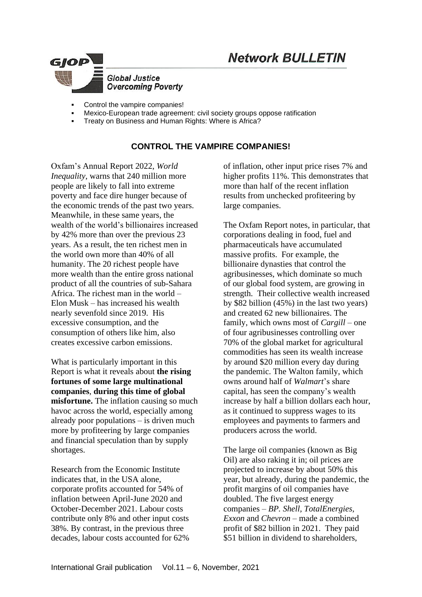## **Network BULLETIN**



- Control the vampire companies!
- Mexico-European trade agreement: civil society groups oppose ratification
- Treaty on Business and Human Rights: Where is Africa?

## **CONTROL THE VAMPIRE COMPANIES!**

Oxfam's Annual Report 2022, *World Inequality*, warns that 240 million more people are likely to fall into extreme poverty and face dire hunger because of the economic trends of the past two years. Meanwhile, in these same years, the wealth of the world's billionaires increased by 42% more than over the previous 23 years. As a result, the ten richest men in the world own more than 40% of all humanity. The 20 richest people have more wealth than the entire gross national product of all the countries of sub-Sahara Africa. The richest man in the world – Elon Musk – has increased his wealth nearly sevenfold since 2019. His excessive consumption, and the consumption of others like him, also creates excessive carbon emissions.

What is particularly important in this Report is what it reveals about **the rising fortunes of some large multinational companies**, **during this time of global misfortune.** The inflation causing so much havoc across the world, especially among already poor populations – is driven much more by profiteering by large companies and financial speculation than by supply shortages.

Research from the Economic Institute indicates that, in the USA alone, corporate profits accounted for 54% of inflation between April-June 2020 and October-December 2021. Labour costs contribute only 8% and other input costs 38%. By contrast, in the previous three decades, labour costs accounted for 62%

of inflation, other input price rises 7% and higher profits 11%. This demonstrates that more than half of the recent inflation results from unchecked profiteering by large companies.

The Oxfam Report notes, in particular, that corporations dealing in food, fuel and pharmaceuticals have accumulated massive profits. For example, the billionaire dynasties that control the agribusinesses, which dominate so much of our global food system, are growing in strength. Their collective wealth increased by \$82 billion (45%) in the last two years) and created 62 new billionaires. The family, which owns most of *Cargill* – one of four agribusinesses controlling over 70% of the global market for agricultural commodities has seen its wealth increase by around \$20 million every day during the pandemic. The Walton family, which owns around half of *Walmart*'s share capital, has seen the company's wealth increase by half a billion dollars each hour, as it continued to suppress wages to its employees and payments to farmers and producers across the world.

The large oil companies (known as Big Oil) are also raking it in; oil prices are projected to increase by about 50% this year, but already, during the pandemic, the profit margins of oil companies have doubled. The five largest energy companies – *BP. Shell, TotalEnergies, Exxon* and *Chevron* – made a combined profit of \$82 billion in 2021. They paid \$51 billion in dividend to shareholders,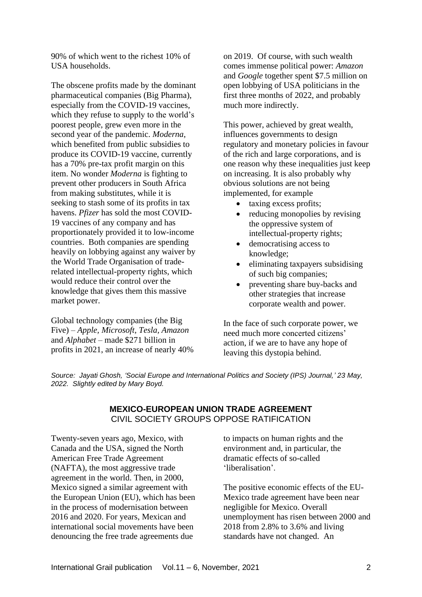90% of which went to the richest 10% of USA households.

The obscene profits made by the dominant pharmaceutical companies (Big Pharma), especially from the COVID-19 vaccines, which they refuse to supply to the world's poorest people, grew even more in the second year of the pandemic. *Moderna*, which benefited from public subsidies to produce its COVID-19 vaccine, currently has a 70% pre-tax profit margin on this item. No wonder *Moderna* is fighting to prevent other producers in South Africa from making substitutes, while it is seeking to stash some of its profits in tax havens. *Pfizer* has sold the most COVID-19 vaccines of any company and has proportionately provided it to low-income countries. Both companies are spending heavily on lobbying against any waiver by the World Trade Organisation of traderelated intellectual-property rights, which would reduce their control over the knowledge that gives them this massive market power.

Global technology companies (the Big Five) – *Apple, Microsoft, Tesla, Amazon* and *Alphabet* – made \$271 billion in profits in 2021, an increase of nearly 40% on 2019. Of course, with such wealth comes immense political power: *Amazon*  and *Google* together spent \$7.5 million on open lobbying of USA politicians in the first three months of 2022, and probably much more indirectly.

This power, achieved by great wealth, influences governments to design regulatory and monetary policies in favour of the rich and large corporations, and is one reason why these inequalities just keep on increasing. It is also probably why obvious solutions are not being implemented, for example

- taxing excess profits;
- reducing monopolies by revising the oppressive system of intellectual-property rights;
- democratising access to knowledge;
- eliminating taxpayers subsidising of such big companies;
- preventing share buy-backs and other strategies that increase corporate wealth and power.

In the face of such corporate power, we need much more concerted citizens' action, if we are to have any hope of leaving this dystopia behind.

*Source: Jayati Ghosh, 'Social Europe and International Politics and Society (IPS) Journal,' 23 May, 2022. Slightly edited by Mary Boyd.* 

## **MEXICO-EUROPEAN UNION TRADE AGREEMENT**  CIVIL SOCIETY GROUPS OPPOSE RATIFICATION

Twenty-seven years ago, Mexico, with Canada and the USA, signed the North American Free Trade Agreement (NAFTA), the most aggressive trade agreement in the world. Then, in 2000, Mexico signed a similar agreement with the European Union (EU), which has been in the process of modernisation between 2016 and 2020. For years, Mexican and international social movements have been denouncing the free trade agreements due

to impacts on human rights and the environment and, in particular, the dramatic effects of so-called 'liberalisation'.

The positive economic effects of the EU-Mexico trade agreement have been near negligible for Mexico. Overall unemployment has risen between 2000 and 2018 from 2.8% to 3.6% and living standards have not changed. An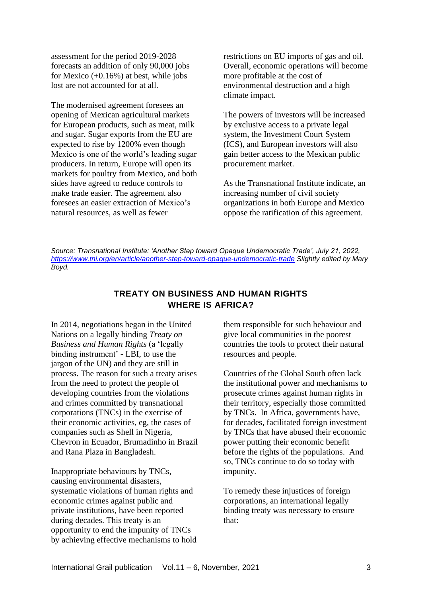assessment for the period 2019-2028 forecasts an addition of only 90,000 jobs for Mexico  $(+0.16%)$  at best, while jobs lost are not accounted for at all.

The modernised agreement foresees an opening of Mexican agricultural markets for European products, such as meat, milk and sugar. Sugar exports from the EU are expected to rise by 1200% even though Mexico is one of the world's leading sugar producers. In return, Europe will open its markets for poultry from Mexico, and both sides have agreed to reduce controls to make trade easier. The agreement also foresees an easier extraction of Mexico's natural resources, as well as fewer

restrictions on EU imports of gas and oil. Overall, economic operations will become more profitable at the cost of environmental destruction and a high climate impact.

The powers of investors will be increased by exclusive access to a private legal system, the Investment Court System (ICS), and European investors will also gain better access to the Mexican public procurement market.

As the Transnational Institute indicate, an increasing number of civil society organizations in both Europe and Mexico oppose the ratification of this agreement.

*Source: Transnational Institute: 'Another Step toward Opaque Undemocratic Trade', July 21, 2022, <https://www.tni.org/en/article/another-step-toward-opaque-undemocratic-trade> Slightly edited by Mary Boyd.*

## **TREATY ON BUSINESS AND HUMAN RIGHTS WHERE IS AFRICA?**

In 2014, negotiations began in the United Nations on a legally binding *Treaty on Business and Human Rights* (a 'legally binding instrument' - LBI, to use the jargon of the UN) and they are still in process. The reason for such a treaty arises from the need to protect the people of developing countries from the violations and crimes committed by transnational corporations (TNCs) in the exercise of their economic activities, eg, the cases of companies such as Shell in Nigeria, Chevron in Ecuador, Brumadinho in Brazil and Rana Plaza in Bangladesh.

Inappropriate behaviours by TNCs, causing environmental disasters, systematic violations of human rights and economic crimes against public and private institutions, have been reported during decades. This treaty is an opportunity to end the impunity of TNCs by achieving effective mechanisms to hold them responsible for such behaviour and give local communities in the poorest countries the tools to protect their natural resources and people.

Countries of the Global South often lack the institutional power and mechanisms to prosecute crimes against human rights in their territory, especially those committed by TNCs. In Africa, governments have, for decades, facilitated foreign investment by TNCs that have abused their economic power putting their economic benefit before the rights of the populations. And so, TNCs continue to do so today with impunity.

To remedy these injustices of foreign corporations, an international legally binding treaty was necessary to ensure that: